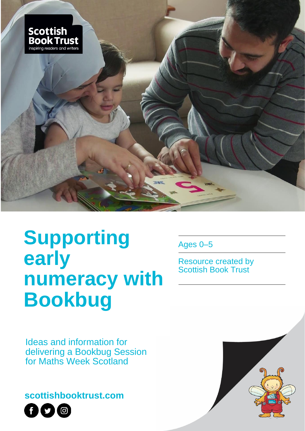

# **Supporting early numeracy with Bookbug**

Ages 0–5

Resource created by Scottish Book Trust

Ideas and information for delivering a Bookbug Session for Maths Week Scotland

**scottishbooktrust.com**



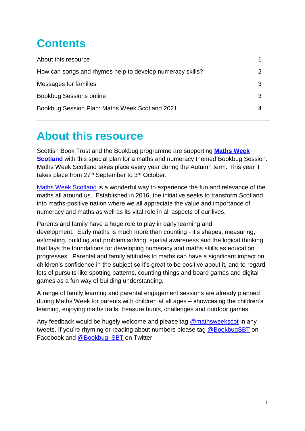# **Contents**

| About this resource                                       |  |
|-----------------------------------------------------------|--|
| How can songs and rhymes help to develop numeracy skills? |  |
| Messages for families                                     |  |
| <b>Bookbug Sessions online</b>                            |  |
| Bookbug Session Plan: Maths Week Scotland 2021            |  |
|                                                           |  |

### **About this resource**

Scottish Book Trust and the Bookbug programme are supporting **[Maths Week](https://www.mathsweek.scot/)  [Scotland](https://www.mathsweek.scot/)** with this special plan for a maths and numeracy themed Bookbug Session. Maths Week Scotland takes place every year during the Autumn term. This year it takes place from 27<sup>th</sup> September to 3<sup>rd</sup> October.

[Maths Week Scotland](https://www.mathsweek.scot/) is a wonderful way to experience the fun and relevance of the maths all around us. Established in 2016, the initiative seeks to transform Scotland into maths-positive nation where we all appreciate the value and importance of numeracy and maths as well as its vital role in all aspects of our lives.

Parents and family have a huge role to play in early learning and development. Early maths is much more than counting - it's shapes, measuring, estimating, building and problem solving, spatial awareness and the logical thinking that lays the foundations for developing numeracy and maths skills as education progresses. Parental and family attitudes to maths can have a significant impact on children's confidence in the subject so it's great to be positive about it, and to regard lots of pursuits like spotting patterns, counting things and board games and digital games as a fun way of building understanding.

A range of family learning and parental engagement sessions are already planned during Maths Week for parents with children at all ages – showcasing the children's learning, enjoying maths trails, treasure hunts, challenges and outdoor games.

Any feedback would be hugely welcome and please tag [@mathsweekscot](https://twitter.com/mathsweekscot) in any tweets. If you're rhyming or reading about numbers please tag [@BookbugSBT](https://www.facebook.com/BookbugSBT/) on Facebook and [@Bookbug\\_SBT](https://twitter.com/Bookbug_SBT) on Twitter.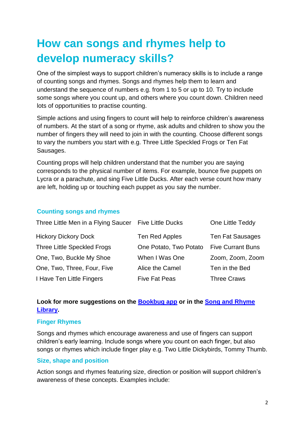# **How can songs and rhymes help to develop numeracy skills?**

One of the simplest ways to support children's numeracy skills is to include a range of counting songs and rhymes. Songs and rhymes help them to learn and understand the sequence of numbers e.g. from 1 to 5 or up to 10. Try to include some songs where you count up, and others where you count down. Children need lots of opportunities to practise counting.

Simple actions and using fingers to count will help to reinforce children's awareness of numbers. At the start of a song or rhyme, ask adults and children to show you the number of fingers they will need to join in with the counting. Choose different songs to vary the numbers you start with e.g. Three Little Speckled Frogs or Ten Fat Sausages.

Counting props will help children understand that the number you are saying corresponds to the physical number of items. For example, bounce five puppets on Lycra or a parachute, and sing Five Little Ducks. After each verse count how many are left, holding up or touching each puppet as you say the number.

#### **Counting songs and rhymes**

| Three Little Men in a Flying Saucer Five Little Ducks |                        | One Little Teddy         |
|-------------------------------------------------------|------------------------|--------------------------|
| <b>Hickory Dickory Dock</b>                           | Ten Red Apples         | <b>Ten Fat Sausages</b>  |
| <b>Three Little Speckled Frogs</b>                    | One Potato, Two Potato | <b>Five Currant Buns</b> |
| One, Two, Buckle My Shoe                              | When I Was One         | Zoom, Zoom, Zoom         |
| One, Two, Three, Four, Five                           | Alice the Camel        | Ten in the Bed           |
| I Have Ten Little Fingers                             | <b>Five Fat Peas</b>   | <b>Three Craws</b>       |

#### **Look for more suggestions on the [Bookbug app](https://www.scottishbooktrust.com/reading-and-stories/bookbug/bookbug-app) or in the [Song and Rhyme](http://www.scottishbooktrust.com/songandrhyme)  [Library.](http://www.scottishbooktrust.com/songandrhyme)**

#### **Finger Rhymes**

Songs and rhymes which encourage awareness and use of fingers can support children's early learning. Include songs where you count on each finger, but also songs or rhymes which include finger play e.g. Two Little Dickybirds, Tommy Thumb.

#### **Size, shape and position**

Action songs and rhymes featuring size, direction or position will support children's awareness of these concepts. Examples include: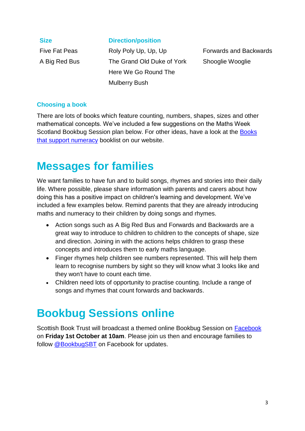#### **Size Direction/position**

Five Fat Peas **Roly Poly Up, Up, Up** Forwards and Backwards A Big Red Bus The Grand Old Duke of York Shooglie Wooglie Here We Go Round The Mulberry Bush

#### **Choosing a book**

There are lots of books which feature counting, numbers, shapes, sizes and other mathematical concepts. We've included a few suggestions on the Maths Week Scotland Bookbug Session plan below. For other ideas, have a look at the [Books](https://www.scottishbooktrust.com/book-lists/books-about-numbers)  [that support numeracy](https://www.scottishbooktrust.com/book-lists/books-about-numbers) booklist on our website.

### **Messages for families**

We want families to have fun and to build songs, rhymes and stories into their daily life. Where possible, please share information with parents and carers about how doing this has a positive impact on children's learning and development. We've included a few examples below. Remind parents that they are already introducing maths and numeracy to their children by doing songs and rhymes.

- Action songs such as A Big Red Bus and Forwards and Backwards are a great way to introduce to children to children to the concepts of shape, size and direction. Joining in with the actions helps children to grasp these concepts and introduces them to early maths language.
- Finger rhymes help children see numbers represented. This will help them learn to recognise numbers by sight so they will know what 3 looks like and they won't have to count each time.
- Children need lots of opportunity to practise counting. Include a range of songs and rhymes that count forwards and backwards.

## **Bookbug Sessions online**

Scottish Book Trust will broadcast a themed online Bookbug Session on [Facebook](https://www.facebook.com/BookbugSBT/) on **Friday 1st October at 10am**. Please join us then and encourage families to follow [@BookbugSBT](https://www.facebook.com/BookbugSBT/) on Facebook for updates.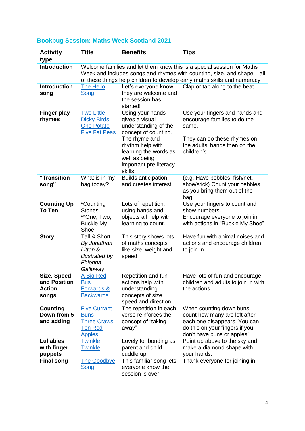#### **Bookbug Session: Maths Week Scotland 2021**

| <b>Activity</b><br>type                               | <b>Title</b>                                                                                                                                                                                                                   | <b>Benefits</b>                                                                                                                                                                                        | <b>Tips</b>                                                                                                                                               |  |  |
|-------------------------------------------------------|--------------------------------------------------------------------------------------------------------------------------------------------------------------------------------------------------------------------------------|--------------------------------------------------------------------------------------------------------------------------------------------------------------------------------------------------------|-----------------------------------------------------------------------------------------------------------------------------------------------------------|--|--|
| <b>Introduction</b>                                   | Welcome families and let them know this is a special session for Maths<br>Week and includes songs and rhymes with counting, size, and shape – all<br>of these things help children to develop early maths skills and numeracy. |                                                                                                                                                                                                        |                                                                                                                                                           |  |  |
| <b>Introduction</b><br>song                           | <b>The Hello</b><br>Song                                                                                                                                                                                                       | Let's everyone know<br>they are welcome and<br>the session has<br>started!                                                                                                                             | Clap or tap along to the beat                                                                                                                             |  |  |
| <b>Finger play</b><br>rhymes                          | <b>Two Little</b><br><b>Dicky Birds</b><br><b>One Potato</b><br><b>Five Fat Peas</b>                                                                                                                                           | Using your hands<br>gives a visual<br>understanding of the<br>concept of counting.<br>The rhyme and<br>rhythm help with<br>learning the words as<br>well as being<br>important pre-literacy<br>skills. | Use your fingers and hands and<br>encourage families to do the<br>same.<br>They can do these rhymes on<br>the adults' hands then on the<br>children's.    |  |  |
| "Transition<br>song"                                  | What is in my<br>bag today?                                                                                                                                                                                                    | <b>Builds anticipation</b><br>and creates interest.                                                                                                                                                    | (e.g. Have pebbles, fish/net,<br>shoe/stick) Count your pebbles<br>as you bring them out of the<br>bag.                                                   |  |  |
| <b>Counting Up</b><br>To Ten                          | *Counting<br><b>Stones</b><br>**One, Two,<br><b>Buckle My</b><br>Shoe                                                                                                                                                          | Lots of repetition,<br>using hands and<br>objects all help with<br>learning to count.                                                                                                                  | Use your fingers to count and<br>show numbers.<br>Encourage everyone to join in<br>with actions in "Buckle My Shoe"                                       |  |  |
| <b>Story</b>                                          | Tall & Short<br>By Jonathan<br>Litton &<br>illustrated by<br>Fhionna<br>Galloway                                                                                                                                               | This story shows lots<br>of maths concepts<br>like size, weight and<br>speed.                                                                                                                          | Have fun with animal noises and<br>actions and encourage children<br>to join in.                                                                          |  |  |
| Size, Speed<br>and Position<br><b>Action</b><br>songs | A Big Red<br><b>Bus</b><br><b>Forwards &amp;</b><br><b>Backwards</b>                                                                                                                                                           | Repetition and fun<br>actions help with<br>understanding<br>concepts of size,<br>speed and direction.                                                                                                  | Have lots of fun and encourage<br>children and adults to join in with<br>the actions.                                                                     |  |  |
| <b>Counting</b><br>Down from 5<br>and adding          | <b>Five Currant</b><br><b>Buns</b><br><b>Three Craws</b><br><b>Ten Red</b><br><b>Apples</b>                                                                                                                                    | The repetition in each<br>verse reinforces the<br>concept of "taking<br>away"                                                                                                                          | When counting down buns,<br>count how many are left after<br>each one disappears. You can<br>do this on your fingers if you<br>don't have buns or apples! |  |  |
| <b>Lullabies</b><br>with finger<br>puppets            | <b>Twinkle</b><br><b>Twinkle</b>                                                                                                                                                                                               | Lovely for bonding as<br>parent and child<br>cuddle up.                                                                                                                                                | Point up above to the sky and<br>make a diamond shape with<br>your hands.                                                                                 |  |  |
| <b>Final song</b>                                     | <b>The Goodbye</b><br>Song                                                                                                                                                                                                     | This familiar song lets<br>everyone know the<br>session is over.                                                                                                                                       | Thank everyone for joining in.                                                                                                                            |  |  |